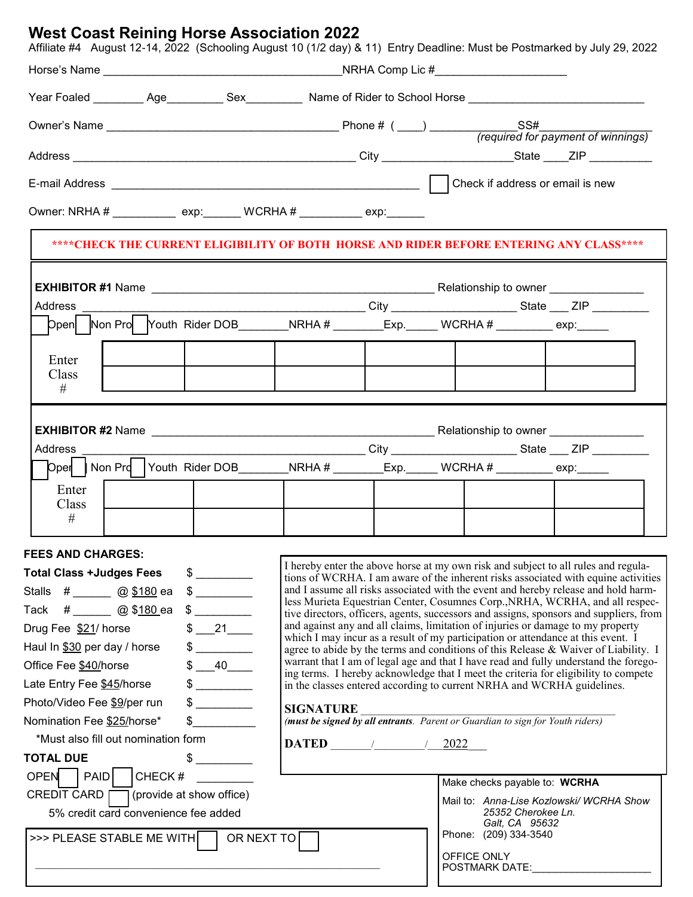## **West Coast Reining Horse Association 2022**

Affiliate #4 August 12-14, 2022 (Schooling August 10 (1/2 day) & 11) Entry Deadline: Must be Postmarked by July 29, 2022

| Year Foaled _________ Age_________ Sex_________ Name of Rider to School Horse _______________________________                             |  |                                                                                                                                                                          |                  |                                                                                                                                                                             |                                                                                                                               |                                      |  |  |  |  |
|-------------------------------------------------------------------------------------------------------------------------------------------|--|--------------------------------------------------------------------------------------------------------------------------------------------------------------------------|------------------|-----------------------------------------------------------------------------------------------------------------------------------------------------------------------------|-------------------------------------------------------------------------------------------------------------------------------|--------------------------------------|--|--|--|--|
|                                                                                                                                           |  |                                                                                                                                                                          |                  |                                                                                                                                                                             |                                                                                                                               |                                      |  |  |  |  |
|                                                                                                                                           |  |                                                                                                                                                                          |                  |                                                                                                                                                                             |                                                                                                                               |                                      |  |  |  |  |
|                                                                                                                                           |  |                                                                                                                                                                          |                  |                                                                                                                                                                             |                                                                                                                               |                                      |  |  |  |  |
| Owner: NRHA # _____________ exp:_______ WCRHA # __________ exp:_______                                                                    |  |                                                                                                                                                                          |                  |                                                                                                                                                                             |                                                                                                                               |                                      |  |  |  |  |
| ****CHECK THE CURRENT ELIGIBILITY OF BOTH HORSE AND RIDER BEFORE ENTERING ANY CLASS****                                                   |  |                                                                                                                                                                          |                  |                                                                                                                                                                             |                                                                                                                               |                                      |  |  |  |  |
|                                                                                                                                           |  |                                                                                                                                                                          |                  |                                                                                                                                                                             |                                                                                                                               |                                      |  |  |  |  |
|                                                                                                                                           |  |                                                                                                                                                                          |                  |                                                                                                                                                                             |                                                                                                                               |                                      |  |  |  |  |
| Dpen Non Pro Youth Rider DOB____________NRHA # __________Exp.______ WCRHA # ___________ exp:______                                        |  |                                                                                                                                                                          |                  |                                                                                                                                                                             |                                                                                                                               |                                      |  |  |  |  |
| Enter<br>Class                                                                                                                            |  |                                                                                                                                                                          |                  |                                                                                                                                                                             |                                                                                                                               |                                      |  |  |  |  |
| #                                                                                                                                         |  |                                                                                                                                                                          |                  |                                                                                                                                                                             |                                                                                                                               |                                      |  |  |  |  |
|                                                                                                                                           |  |                                                                                                                                                                          |                  |                                                                                                                                                                             |                                                                                                                               |                                      |  |  |  |  |
| Address                                                                                                                                   |  |                                                                                                                                                                          |                  |                                                                                                                                                                             | ___________________________________City _______________________State ____ ZIP __________                                      |                                      |  |  |  |  |
| $\begin{bmatrix} \text{Open} & \text{Non Prd} \end{bmatrix}$ Youth Rider DOB_________NRHA # ________Exp._____ WCRHA # _________ exp:_____ |  |                                                                                                                                                                          |                  |                                                                                                                                                                             |                                                                                                                               |                                      |  |  |  |  |
| Enter<br>Class                                                                                                                            |  |                                                                                                                                                                          |                  |                                                                                                                                                                             |                                                                                                                               |                                      |  |  |  |  |
| #                                                                                                                                         |  |                                                                                                                                                                          |                  |                                                                                                                                                                             |                                                                                                                               |                                      |  |  |  |  |
| <b>FEES AND CHARGES:</b>                                                                                                                  |  |                                                                                                                                                                          |                  |                                                                                                                                                                             |                                                                                                                               |                                      |  |  |  |  |
| <b>Total Class +Judges Fees</b>                                                                                                           |  | I hereby enter the above horse at my own risk and subject to all rules and regula-<br>tions of WCRHA. I am aware of the inherent risks associated with equine activities |                  |                                                                                                                                                                             |                                                                                                                               |                                      |  |  |  |  |
| Stalls #______ @ <u>\$180</u> ea                                                                                                          |  | and I assume all risks associated with the event and hereby release and hold harm-                                                                                       |                  |                                                                                                                                                                             |                                                                                                                               |                                      |  |  |  |  |
| Tack #______ @ \$ <u>180 e</u> a                                                                                                          |  | less Murieta Equestrian Center, Cosumnes Corp., NRHA, WCRHA, and all respec-<br>tive directors, officers, agents, successors and assigns, sponsors and suppliers, from   |                  |                                                                                                                                                                             |                                                                                                                               |                                      |  |  |  |  |
| Drug Fee \$21/ horse                                                                                                                      |  | and against any and all claims, limitation of injuries or damage to my property                                                                                          |                  |                                                                                                                                                                             |                                                                                                                               |                                      |  |  |  |  |
| Haul In \$30 per day / horse                                                                                                              |  | which I may incur as a result of my participation or attendance at this event. I<br>agree to abide by the terms and conditions of this Release & Waiver of Liability. I  |                  |                                                                                                                                                                             |                                                                                                                               |                                      |  |  |  |  |
| \$ 40<br>Office Fee <u>\$40/</u> horse                                                                                                    |  |                                                                                                                                                                          |                  | warrant that I am of legal age and that I have read and fully understand the forego-<br>ing terms. I hereby acknowledge that I meet the criteria for eligibility to compete |                                                                                                                               |                                      |  |  |  |  |
| Late Entry Fee <u>\$45</u> /horse<br>$\frac{1}{2}$                                                                                        |  |                                                                                                                                                                          |                  | in the classes entered according to current NRHA and WCRHA guidelines.                                                                                                      |                                                                                                                               |                                      |  |  |  |  |
| Photo/Video Fee \$9/per run<br>$\frac{1}{2}$                                                                                              |  |                                                                                                                                                                          | <b>SIGNATURE</b> |                                                                                                                                                                             |                                                                                                                               |                                      |  |  |  |  |
| Nomination Fee \$25/horse*                                                                                                                |  | (must be signed by all entrants. Parent or Guardian to sign for Youth riders)                                                                                            |                  |                                                                                                                                                                             |                                                                                                                               |                                      |  |  |  |  |
| *Must also fill out nomination form                                                                                                       |  | $\mathbf{DATA} \qquad \qquad \qquad \qquad \qquad \qquad$<br><u>2022</u>                                                                                                 |                  |                                                                                                                                                                             |                                                                                                                               |                                      |  |  |  |  |
| <b>TOTAL DUE</b>                                                                                                                          |  |                                                                                                                                                                          |                  |                                                                                                                                                                             |                                                                                                                               |                                      |  |  |  |  |
| OPEN  <br>PAID<br>CHECK#                                                                                                                  |  |                                                                                                                                                                          |                  |                                                                                                                                                                             |                                                                                                                               | Make checks payable to: WCRHA        |  |  |  |  |
| <b>CREDIT CARD</b>                                                                                                                        |  | $\Box$ (provide at show office)                                                                                                                                          |                  | Mail to: Anna-Lise Kozlowski/WCRHA Show                                                                                                                                     |                                                                                                                               |                                      |  |  |  |  |
| 5% credit card convenience fee added                                                                                                      |  |                                                                                                                                                                          |                  |                                                                                                                                                                             |                                                                                                                               | 25352 Cherokee Ln.<br>Galt, CA 95632 |  |  |  |  |
| OR NEXT TO<br>>>> PLEASE STABLE ME WITH                                                                                                   |  |                                                                                                                                                                          |                  |                                                                                                                                                                             |                                                                                                                               | Phone: (209) 334-3540                |  |  |  |  |
|                                                                                                                                           |  |                                                                                                                                                                          |                  |                                                                                                                                                                             | OFFICE ONLY<br>POSTMARK DATE: NAMEL AND RESERVE THE RESERVE THAT A STATE OF THE RESERVE THAT A STATE OF THE RESERVE THAT A ST |                                      |  |  |  |  |
|                                                                                                                                           |  |                                                                                                                                                                          |                  |                                                                                                                                                                             |                                                                                                                               |                                      |  |  |  |  |